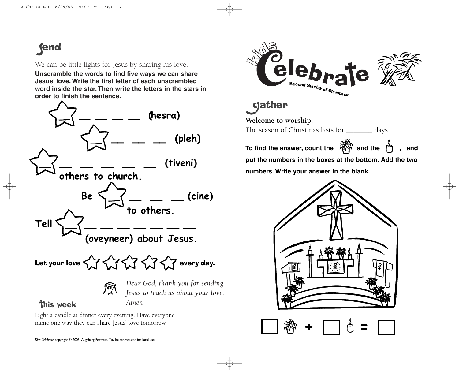## **fend**

## We can be little lights for Jesus by sharing his love.

**Unscramble the words to find five ways we can share Jesus' love. Write the first letter of each unscrambled word inside the star. Then write the letters in the stars in order to finish the sentence.**



Light a candle at dinner every evening. Have everyone name one way they can share Jesus' love tomorrow.



dather

**Welcome to worship.** 

The season of Christmas lasts for \_\_\_\_\_\_\_ days.

**To find the answer, count the <sup>《</sup> and the <sup>8</sup> , and put the numbers in the boxes at the bottom. Add the two numbers. Write your answer in the blank.**